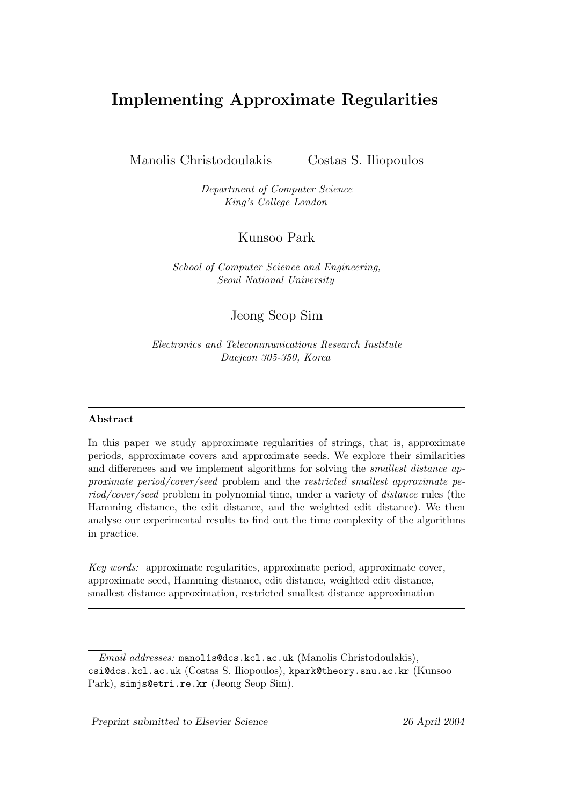# Implementing Approximate Regularities

Manolis Christodoulakis Costas S. Iliopoulos

*Department of Computer Science King's College London*

Kunsoo Park

*School of Computer Science and Engineering, Seoul National University*

Jeong Seop Sim

*Electronics and Telecommunications Research Institute Daejeon 305-350, Korea*

#### Abstract

In this paper we study approximate regularities of strings, that is, approximate periods, approximate covers and approximate seeds. We explore their similarities and differences and we implement algorithms for solving the *smallest distance approximate period/cover/seed* problem and the *restricted smallest approximate period/cover/seed* problem in polynomial time, under a variety of *distance* rules (the Hamming distance, the edit distance, and the weighted edit distance). We then analyse our experimental results to find out the time complexity of the algorithms in practice.

*Key words:* approximate regularities, approximate period, approximate cover, approximate seed, Hamming distance, edit distance, weighted edit distance, smallest distance approximation, restricted smallest distance approximation

*Email addresses:* manolis@dcs.kcl.ac.uk (Manolis Christodoulakis), csi@dcs.kcl.ac.uk (Costas S. Iliopoulos), kpark@theory.snu.ac.kr (Kunsoo Park), simjs@etri.re.kr (Jeong Seop Sim).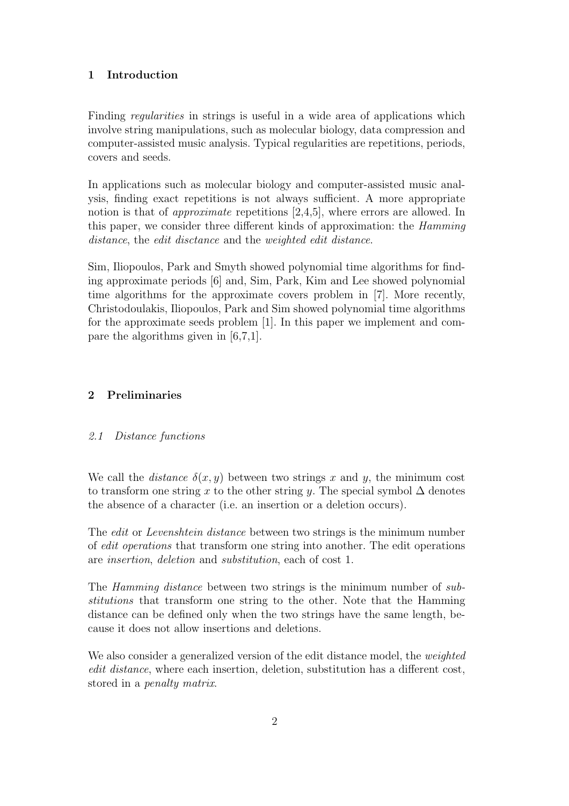# 1 Introduction

Finding *regularities* in strings is useful in a wide area of applications which involve string manipulations, such as molecular biology, data compression and computer-assisted music analysis. Typical regularities are repetitions, periods, covers and seeds.

In applications such as molecular biology and computer-assisted music analysis, finding exact repetitions is not always sufficient. A more appropriate notion is that of *approximate* repetitions [2,4,5], where errors are allowed. In this paper, we consider three different kinds of approximation: the Hamming distance, the *edit disctance* and the *weighted edit distance*.

Sim, Iliopoulos, Park and Smyth showed polynomial time algorithms for finding approximate periods [6] and, Sim, Park, Kim and Lee showed polynomial time algorithms for the approximate covers problem in [7]. More recently, Christodoulakis, Iliopoulos, Park and Sim showed polynomial time algorithms for the approximate seeds problem [1]. In this paper we implement and compare the algorithms given in [6,7,1].

## 2 Preliminaries

#### 2.1 Distance functions

We call the *distance*  $\delta(x, y)$  between two strings x and y, the minimum cost to transform one string x to the other string y. The special symbol  $\Delta$  denotes the absence of a character (i.e. an insertion or a deletion occurs).

The *edit* or *Levenshtein distance* between two strings is the minimum number of edit operations that transform one string into another. The edit operations are insertion, deletion and substitution, each of cost 1.

The Hamming distance between two strings is the minimum number of substitutions that transform one string to the other. Note that the Hamming distance can be defined only when the two strings have the same length, because it does not allow insertions and deletions.

We also consider a generalized version of the edit distance model, the weighted edit distance, where each insertion, deletion, substitution has a different cost, stored in a penalty matrix.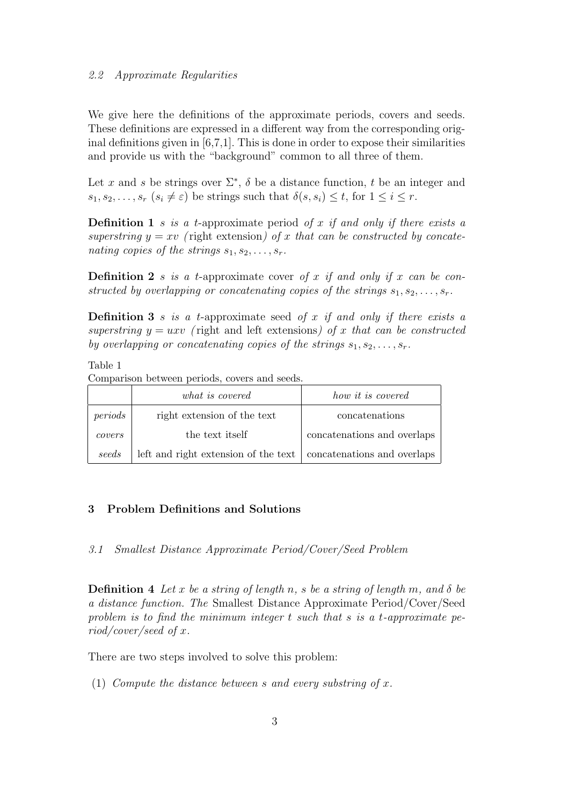We give here the definitions of the approximate periods, covers and seeds. These definitions are expressed in a different way from the corresponding original definitions given in [6,7,1]. This is done in order to expose their similarities and provide us with the "background" common to all three of them.

Let x and s be strings over  $\Sigma^*$ ,  $\delta$  be a distance function, t be an integer and  $s_1, s_2, \ldots, s_r$   $(s_i \neq \varepsilon)$  be strings such that  $\delta(s, s_i) \leq t$ , for  $1 \leq i \leq r$ .

**Definition 1** s is a t-approximate period of x if and only if there exists a superstring  $y = xv$  (right extension) of x that can be constructed by concatenating copies of the strings  $s_1, s_2, \ldots, s_r$ .

**Definition 2** s is a t-approximate cover of x if and only if x can be constructed by overlapping or concatenating copies of the strings  $s_1, s_2, \ldots, s_r$ .

**Definition 3** s is a t-approximate seed of x if and only if there exists a superstring  $y = uxv$  (right and left extensions) of x that can be constructed by overlapping or concatenating copies of the strings  $s_1, s_2, \ldots, s_r$ .

Table 1

Comparison between periods, covers and seeds.

|              | what is covered                                                    | how it is covered           |
|--------------|--------------------------------------------------------------------|-----------------------------|
| periods      | right extension of the text                                        | concatenations              |
| $\it covers$ | the text itself                                                    | concatenations and overlaps |
| seeds        | left and right extension of the text   concatenations and overlaps |                             |

# 3 Problem Definitions and Solutions

3.1 Smallest Distance Approximate Period/Cover/Seed Problem

**Definition** 4 Let x be a string of length n, s be a string of length m, and  $\delta$  be a distance function. The Smallest Distance Approximate Period/Cover/Seed problem is to find the minimum integer  $t$  such that  $s$  is a  $t$ -approximate period/cover/seed of x.

There are two steps involved to solve this problem:

(1) Compute the distance between s and every substring of x.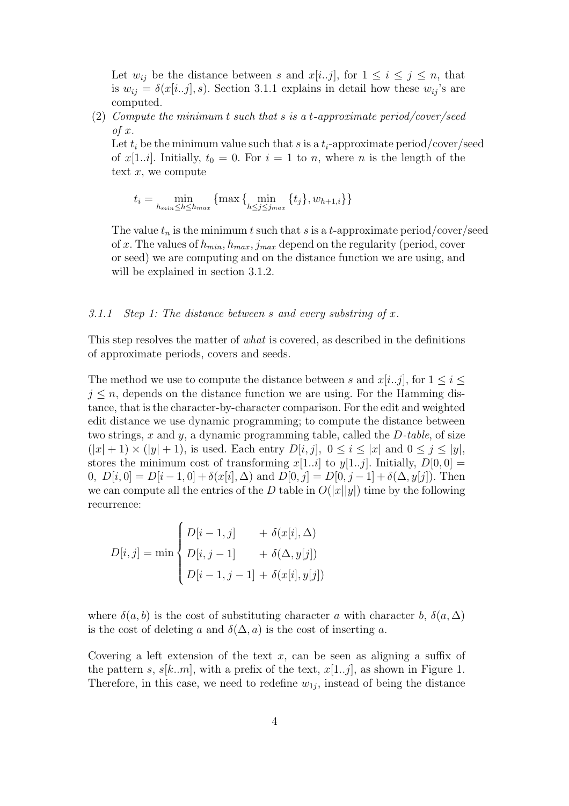Let  $w_{ij}$  be the distance between s and  $x[i..j]$ , for  $1 \leq i \leq j \leq n$ , that is  $w_{ij} = \delta(x[i..j], s)$ . Section 3.1.1 explains in detail how these  $w_{ij}$ 's are computed.

(2) Compute the minimum t such that s is a t-approximate period/cover/seed  $of x.$ 

Let  $t_i$  be the minimum value such that s is a  $t_i$ -approximate period/cover/seed of x[1..*i*]. Initially,  $t_0 = 0$ . For  $i = 1$  to n, where n is the length of the text  $x$ , we compute

$$
t_i = \min_{h_{min} \le h \le h_{max}} \left\{ \max\left\{ \min_{h \le j \le j_{max}} \left\{ t_j \right\}, w_{h+1,i} \right\} \right\}
$$

The value  $t_n$  is the minimum t such that s is a t-approximate period/cover/seed of x. The values of  $h_{min}$ ,  $h_{max}$ ,  $j_{max}$  depend on the regularity (period, cover or seed) we are computing and on the distance function we are using, and will be explained in section 3.1.2.

#### 3.1.1 Step 1: The distance between s and every substring of x.

This step resolves the matter of what is covered, as described in the definitions of approximate periods, covers and seeds.

The method we use to compute the distance between s and  $x[i..j]$ , for  $1 \leq i \leq j$  $j \leq n$ , depends on the distance function we are using. For the Hamming distance, that is the character-by-character comparison. For the edit and weighted edit distance we use dynamic programming; to compute the distance between two strings, x and y, a dynamic programming table, called the  $D$ -table, of size  $(|x|+1) \times (|y|+1)$ , is used. Each entry  $D[i, j]$ ,  $0 \leq i \leq |x|$  and  $0 \leq j \leq |y|$ , stores the minimum cost of transforming  $x[1..i]$  to  $y[1..j]$ . Initially,  $D[0,0] =$ 0,  $D[i, 0] = D[i-1, 0] + \delta(x[i], \Delta)$  and  $D[0, j] = D[0, j-1] + \delta(\Delta, y[j])$ . Then we can compute all the entries of the D table in  $O(|x||y|)$  time by the following recurrence:

$$
D[i, j] = \min \begin{cases} D[i-1, j] &+ \delta(x[i], \Delta) \\ D[i, j-1] &+ \delta(\Delta, y[j]) \\ D[i-1, j-1] + \delta(x[i], y[j]) \end{cases}
$$

where  $\delta(a, b)$  is the cost of substituting character a with character b,  $\delta(a, \Delta)$ is the cost of deleting a and  $\delta(\Delta, a)$  is the cost of inserting a.

Covering a left extension of the text  $x$ , can be seen as aligning a suffix of the pattern s,  $s[k..m]$ , with a prefix of the text,  $x[1..j]$ , as shown in Figure 1. Therefore, in this case, we need to redefine  $w_{1j}$ , instead of being the distance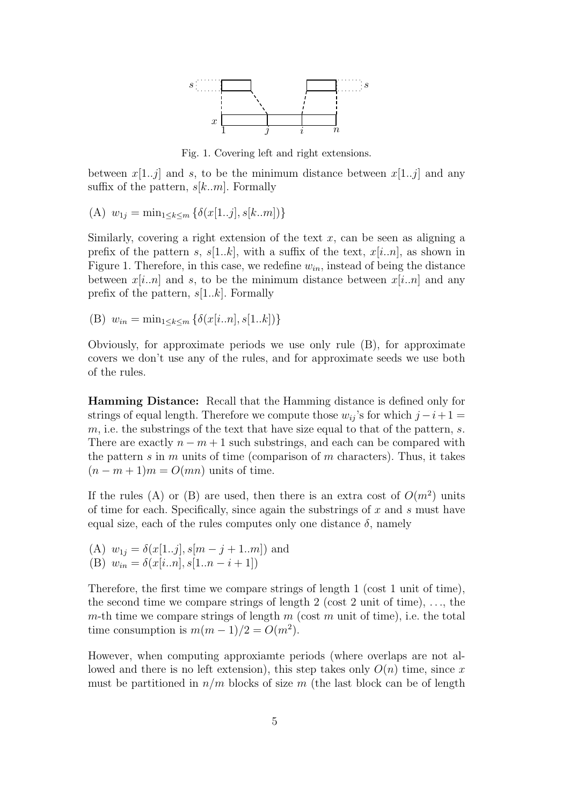

Fig. 1. Covering left and right extensions.

between  $x[1..j]$  and s, to be the minimum distance between  $x[1..j]$  and any suffix of the pattern,  $s[k..m]$ . Formally

(A)  $w_{1j} = \min_{1 \leq k \leq m} \{ \delta(x[1..j], s[k..m]) \}$ 

Similarly, covering a right extension of the text  $x$ , can be seen as aligning a prefix of the pattern s,  $s[1..k]$ , with a suffix of the text,  $x[i..n]$ , as shown in Figure 1. Therefore, in this case, we redefine  $w_{in}$ , instead of being the distance between  $x[i..n]$  and s, to be the minimum distance between  $x[i..n]$  and any prefix of the pattern,  $s[1..k]$ . Formally

(B)  $w_{in} = \min_{1 \leq k \leq m} \{ \delta(x[i..n], s[1..k]) \}$ 

Obviously, for approximate periods we use only rule (B), for approximate covers we don't use any of the rules, and for approximate seeds we use both of the rules.

Hamming Distance: Recall that the Hamming distance is defined only for strings of equal length. Therefore we compute those  $w_{ii}$ 's for which  $j-i+1=$  $m$ , i.e. the substrings of the text that have size equal to that of the pattern, s. There are exactly  $n - m + 1$  such substrings, and each can be compared with the pattern s in m units of time (comparison of m characters). Thus, it takes  $(n - m + 1)m = O(mn)$  units of time.

If the rules (A) or (B) are used, then there is an extra cost of  $O(m^2)$  units of time for each. Specifically, since again the substrings of  $x$  and  $s$  must have equal size, each of the rules computes only one distance  $\delta$ , namely

(A)  $w_{1j} = \delta(x[1..j], s[m-j+1..m])$  and (B)  $w_{in} = \delta(x[i..n], s[1..n-i+1])$ 

Therefore, the first time we compare strings of length 1 (cost 1 unit of time), the second time we compare strings of length 2 (cost 2 unit of time),  $\dots$ , the m-th time we compare strings of length  $m$  (cost  $m$  unit of time), i.e. the total time consumption is  $m(m-1)/2 = O(m^2)$ .

However, when computing approxiamte periods (where overlaps are not allowed and there is no left extension), this step takes only  $O(n)$  time, since x must be partitioned in  $n/m$  blocks of size m (the last block can be of length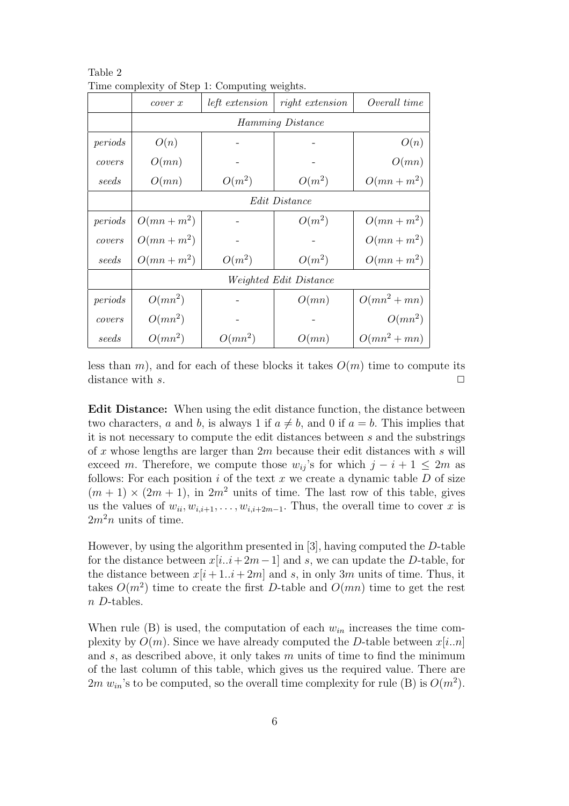|         | cover x                       | Three complexity of Deep 1. Compacing weighter.<br><i>left</i> extension | right extension | Overall time   |
|---------|-------------------------------|--------------------------------------------------------------------------|-----------------|----------------|
|         | <i>Hamming Distance</i>       |                                                                          |                 |                |
| periods | O(n)                          |                                                                          |                 | O(n)           |
| covers  | O(mn)                         |                                                                          |                 | O(mn)          |
| seeds   | O(mn)                         | $O(m^2)$                                                                 | $O(m^2)$        | $O(mn+m^2)$    |
|         | <i>Edit Distance</i>          |                                                                          |                 |                |
| periods | $O(mn+m^2)$                   |                                                                          | $O(m^2)$        | $O(mn+m^2)$    |
| covers  | $O(mn+m^2)$                   |                                                                          |                 | $O(mn+m^2)$    |
| seeds   | $O(mn+m^2)$                   | $O(m^2)$                                                                 | $O(m^2)$        | $O(mn+m^2)$    |
|         | <i>Weighted Edit Distance</i> |                                                                          |                 |                |
| periods | $O(mn^2)$                     |                                                                          | O(mn)           | $O(mn^2 + mn)$ |
| covers  | $O(mn^2)$                     |                                                                          |                 | $O(mn^2)$      |
| seeds   | $O(mn^2)$                     | $O(mn^2)$                                                                | O(mn)           | $O(mn^2 + mn)$ |

Table 2 Time complexity of Step 1: Computing weights.

less than m), and for each of these blocks it takes  $O(m)$  time to compute its distance with s.  $\Box$ 

Edit Distance: When using the edit distance function, the distance between two characters, a and b, is always 1 if  $a \neq b$ , and 0 if  $a = b$ . This implies that it is not necessary to compute the edit distances between s and the substrings of x whose lengths are larger than  $2m$  because their edit distances with s will exceed m. Therefore, we compute those  $w_{ij}$ 's for which  $j - i + 1 \leq 2m$  as follows: For each position  $i$  of the text  $x$  we create a dynamic table  $D$  of size  $(m + 1) \times (2m + 1)$ , in  $2m^2$  units of time. The last row of this table, gives us the values of  $w_{ii}, w_{i,i+1}, \ldots, w_{i,i+2m-1}$ . Thus, the overall time to cover x is  $2m<sup>2</sup>n$  units of time.

However, by using the algorithm presented in [3], having computed the D-table for the distance between  $x[i..i+2m-1]$  and s, we can update the D-table, for the distance between  $x[i+1..i+2m]$  and s, in only 3m units of time. Thus, it takes  $O(m^2)$  time to create the first D-table and  $O(mn)$  time to get the rest n D-tables.

When rule (B) is used, the computation of each  $w_{in}$  increases the time complexity by  $O(m)$ . Since we have already computed the D-table between  $x[i..n]$ and  $s$ , as described above, it only takes  $m$  units of time to find the minimum of the last column of this table, which gives us the required value. There are 2m  $w_{in}$ 's to be computed, so the overall time complexity for rule (B) is  $O(m^2)$ .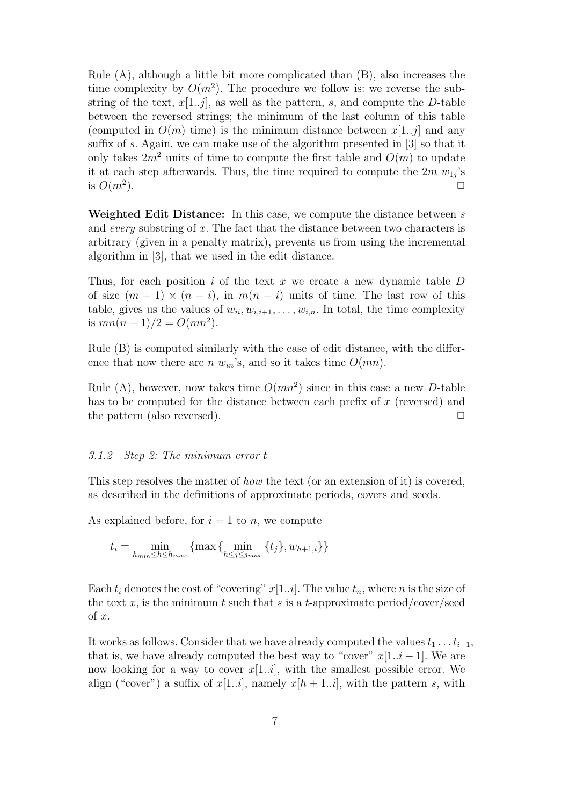Rule (A), although a little bit more complicated than (B), also increases the time complexity by  $O(m^2)$ . The procedure we follow is: we reverse the substring of the text,  $x[1..j]$ , as well as the pattern, s, and compute the D-table between the reversed strings; the minimum of the last column of this table (computed in  $O(m)$  time) is the minimum distance between  $x[1..j]$  and any suffix of s. Again, we can make use of the algorithm presented in [3] so that it only takes  $2m^2$  units of time to compute the first table and  $O(m)$  to update it at each step afterwards. Thus, the time required to compute the  $2m \ w_{1j}$ 's is  $O(m^2)$ . ).  $\Box$ 

Weighted Edit Distance: In this case, we compute the distance between s and every substring of  $x$ . The fact that the distance between two characters is arbitrary (given in a penalty matrix), prevents us from using the incremental algorithm in [3], that we used in the edit distance.

Thus, for each position i of the text x we create a new dynamic table  $D$ of size  $(m + 1) \times (n - i)$ , in  $m(n - i)$  units of time. The last row of this table, gives us the values of  $w_{ii}, w_{i,i+1}, \ldots, w_{i,n}$ . In total, the time complexity is  $mn(n-1)/2 = O(mn^2)$ .

Rule (B) is computed similarly with the case of edit distance, with the difference that now there are n  $w_{in}$ 's, and so it takes time  $O(mn)$ .

Rule (A), however, now takes time  $O(mn^2)$  since in this case a new D-table has to be computed for the distance between each prefix of  $x$  (reversed) and the pattern (also reversed).  $\Box$ 

#### 3.1.2 Step 2: The minimum error t

This step resolves the matter of *how* the text (or an extension of it) is covered, as described in the definitions of approximate periods, covers and seeds.

As explained before, for  $i = 1$  to n, we compute

$$
t_{i} = \min_{h_{min} \le h \le h_{max}} \{ \max \{ \min_{h \le j \le j_{max}} \{ t_{j} \}, w_{h+1,i} \} \}
$$

Each  $t_i$  denotes the cost of "covering"  $x[1..i]$ . The value  $t_n$ , where n is the size of the text x, is the minimum t such that s is a t-approximate period/cover/seed of x.

It works as follows. Consider that we have already computed the values  $t_1 \ldots t_{i-1}$ , that is, we have already computed the best way to "cover"  $x[1..i-1]$ . We are now looking for a way to cover  $x[1..i]$ , with the smallest possible error. We align ("cover") a suffix of  $x[1..i]$ , namely  $x[h+1..i]$ , with the pattern s, with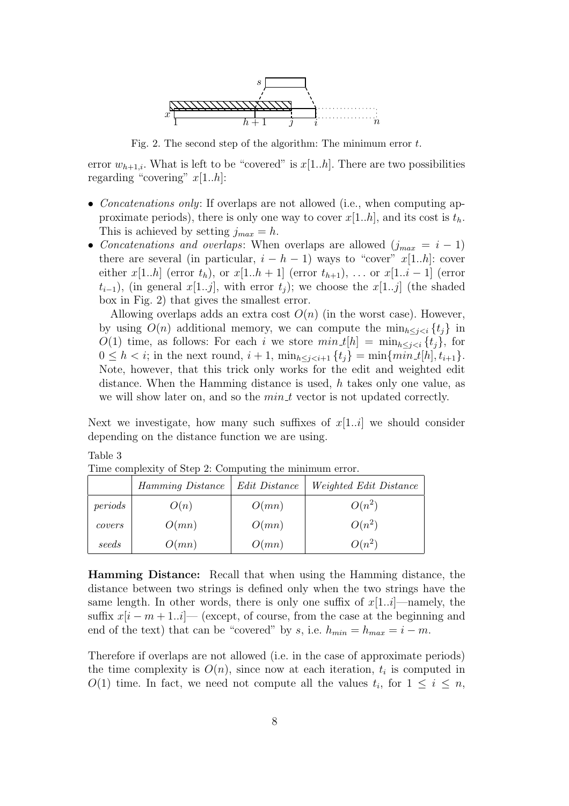

Fig. 2. The second step of the algorithm: The minimum error t.

error  $w_{h+1,i}$ . What is left to be "covered" is  $x[1..h]$ . There are two possibilities regarding "covering"  $x[1..h]$ :

- Concatenations only: If overlaps are not allowed (i.e., when computing approximate periods), there is only one way to cover  $x[1..h]$ , and its cost is  $t<sub>h</sub>$ . This is achieved by setting  $j_{max} = h$ .
- Concatenations and overlaps: When overlaps are allowed  $(j_{max} = i 1)$ there are several (in particular,  $i - h - 1$ ) ways to "cover" x[1..h]: cover either x[1..h] (error  $t_h$ ), or  $x[1..h + 1]$  (error  $t_{h+1}$ ), ... or  $x[1..i - 1]$  (error  $(t_{i-1})$ , (in general  $x[1..j]$ , with error  $t_j$ ); we choose the  $x[1..j]$  (the shaded box in Fig. 2) that gives the smallest error.

Allowing overlaps adds an extra cost  $O(n)$  (in the worst case). However, by using  $O(n)$  additional memory, we can compute the  $\min_{h \leq i \leq i} \{t_i\}$  in  $O(1)$  time, as follows: For each i we store  $min\_t[h] = min_{h \leq j < i} \{t_j\}$ , for  $0 \leq h < i$ ; in the next round,  $i + 1$ ,  $\min_{h \leq j \leq i+1} \{t_j\} = \min\{ \min t[h], t_{i+1}\}.$ Note, however, that this trick only works for the edit and weighted edit distance. When the Hamming distance is used,  $h$  takes only one value, as we will show later on, and so the  $min_t t$  vector is not updated correctly.

Next we investigate, how many such suffixes of  $x[1..i]$  we should consider depending on the distance function we are using.

Table 3

|         | Hamming Distance | Edit Distance | <i>Weighted Edit Distance</i> |
|---------|------------------|---------------|-------------------------------|
| periods | O(n)             | O(mn)         | $O(n^2)$                      |
| covers  | O(mn)            | O(mn)         | $O(n^2)$                      |
| seeds   | O(mn)            | O(mn)         | $O(n^2)$                      |

Time complexity of Step 2: Computing the minimum error.

Hamming Distance: Recall that when using the Hamming distance, the distance between two strings is defined only when the two strings have the same length. In other words, there is only one suffix of  $x[1..i]$ —namely, the suffix  $x[i - m + 1..i]$ — (except, of course, from the case at the beginning and end of the text) that can be "covered" by s, i.e.  $h_{min} = h_{max} = i - m$ .

Therefore if overlaps are not allowed (i.e. in the case of approximate periods) the time complexity is  $O(n)$ , since now at each iteration,  $t_i$  is computed in  $O(1)$  time. In fact, we need not compute all the values  $t_i$ , for  $1 \leq i \leq n$ ,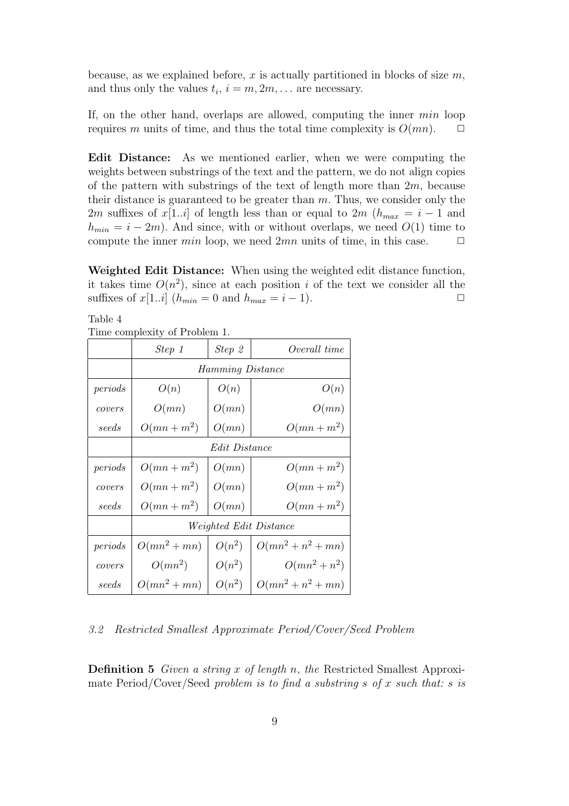because, as we explained before, x is actually partitioned in blocks of size  $m$ , and thus only the values  $t_i$ ,  $i = m, 2m, \ldots$  are necessary.

If, on the other hand, overlaps are allowed, computing the inner min loop requires m units of time, and thus the total time complexity is  $O(mn)$ .  $\Box$ 

Edit Distance: As we mentioned earlier, when we were computing the weights between substrings of the text and the pattern, we do not align copies of the pattern with substrings of the text of length more than  $2m$ , because their distance is guaranteed to be greater than  $m$ . Thus, we consider only the 2m suffixes of x[1..*i*] of length less than or equal to 2m ( $h_{max} = i - 1$  and  $h_{min} = i - 2m$ ). And since, with or without overlaps, we need  $O(1)$  time to compute the inner *min* loop, we need  $2mn$  units of time, in this case.  $\Box$ 

Weighted Edit Distance: When using the weighted edit distance function, it takes time  $O(n^2)$ , since at each position i of the text we consider all the suffixes of  $x[1..i]$  ( $h_{min} = 0$  and  $h_{max} = i - 1$ ).

Table 4 Time complexity of Problem 1.

| THIR COMPRANT OF FRONCHE F. |                               |          |                      |
|-----------------------------|-------------------------------|----------|----------------------|
|                             | Step 1                        | Step 2   | Overall time         |
|                             | <i>Hamming Distance</i>       |          |                      |
| periods                     | O(n)                          | O(n)     | O(n)                 |
| covers                      | O(mn)                         | O(mn)    | O(mn)                |
| seeds                       | $O(mn+m^2)$                   | O(mn)    | $O(mn+m^2)$          |
|                             | <i>Edit Distance</i>          |          |                      |
| periods                     | $O(mn+m^2)$                   | O(mn)    | $O(mn+m^2)$          |
| covers                      | $O(mn+m^2)$                   | O(mn)    | $O(mn+m^2)$          |
| seeds                       | $O(mn+m^2)$                   | O(mn)    | $O(mn+m^2)$          |
|                             | <i>Weighted Edit Distance</i> |          |                      |
| periods                     | $O(mn^2 + mn)$                | $O(n^2)$ | $O(mn^2 + n^2 + mn)$ |
| covers                      | $O(mn^2)$                     | $O(n^2)$ | $O(mn^2 + n^2)$      |
| seeds                       | $O(mn^2 + mn)$                | $O(n^2)$ | $O(mn^2 + n^2 + mn)$ |

3.2 Restricted Smallest Approximate Period/Cover/Seed Problem

**Definition 5** Given a string x of length n, the Restricted Smallest Approximate Period/Cover/Seed problem is to find a substring s of x such that: s is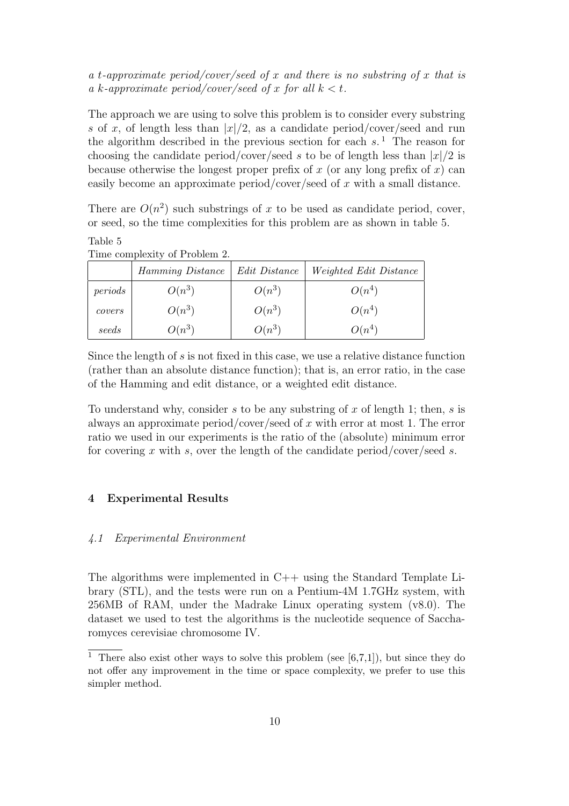# a t-approximate period/cover/seed of x and there is no substring of x that is a k-approximate period/cover/seed of x for all  $k < t$ .

The approach we are using to solve this problem is to consider every substring s of x, of length less than  $|x|/2$ , as a candidate period/cover/seed and run the algorithm described in the previous section for each  $s$ .<sup>1</sup> The reason for choosing the candidate period/cover/seed s to be of length less than  $|x|/2$  is because otherwise the longest proper prefix of x (or any long prefix of  $x$ ) can easily become an approximate period/cover/seed of x with a small distance.

There are  $O(n^2)$  such substrings of x to be used as candidate period, cover, or seed, so the time complexities for this problem are as shown in table 5.

| Table 5 |                               |
|---------|-------------------------------|
|         | Time complexity of Problem 2. |

|         | Hamming Distance | Edit Distance | <i>Weighted Edit Distance</i> |
|---------|------------------|---------------|-------------------------------|
| periods | $O(n^3)$         | $O(n^3)$      | $O(n^4)$                      |
| covers  | $O(n^3)$         | $O(n^3)$      | $O(n^4)$                      |
| seeds   | $O(n^3)$         | $O(n^3)$      | $O(n^4)$                      |

Since the length of s is not fixed in this case, we use a relative distance function (rather than an absolute distance function); that is, an error ratio, in the case of the Hamming and edit distance, or a weighted edit distance.

To understand why, consider s to be any substring of x of length 1; then, s is always an approximate period/cover/seed of x with error at most 1. The error ratio we used in our experiments is the ratio of the (absolute) minimum error for covering x with s, over the length of the candidate period/cover/seed s.

# 4 Experimental Results

#### 4.1 Experimental Environment

The algorithms were implemented in C++ using the Standard Template Library (STL), and the tests were run on a Pentium-4M 1.7GHz system, with 256MB of RAM, under the Madrake Linux operating system (v8.0). The dataset we used to test the algorithms is the nucleotide sequence of Saccharomyces cerevisiae chromosome IV.

<sup>&</sup>lt;sup>1</sup> There also exist other ways to solve this problem (see [6,7,1]), but since they do not offer any improvement in the time or space complexity, we prefer to use this simpler method.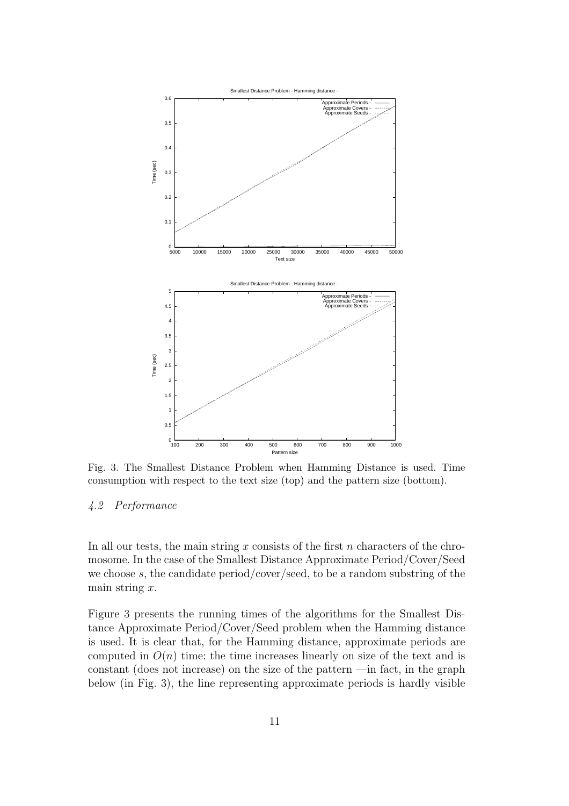

Fig. 3. The Smallest Distance Problem when Hamming Distance is used. Time consumption with respect to the text size (top) and the pattern size (bottom).

## 4.2 Performance

In all our tests, the main string  $x$  consists of the first  $n$  characters of the chromosome. In the case of the Smallest Distance Approximate Period/Cover/Seed we choose s, the candidate period/cover/seed, to be a random substring of the main string  $x$ .

Figure 3 presents the running times of the algorithms for the Smallest Distance Approximate Period/Cover/Seed problem when the Hamming distance is used. It is clear that, for the Hamming distance, approximate periods are computed in  $O(n)$  time: the time increases linearly on size of the text and is constant (does not increase) on the size of the pattern —in fact, in the graph below (in Fig. 3), the line representing approximate periods is hardly visible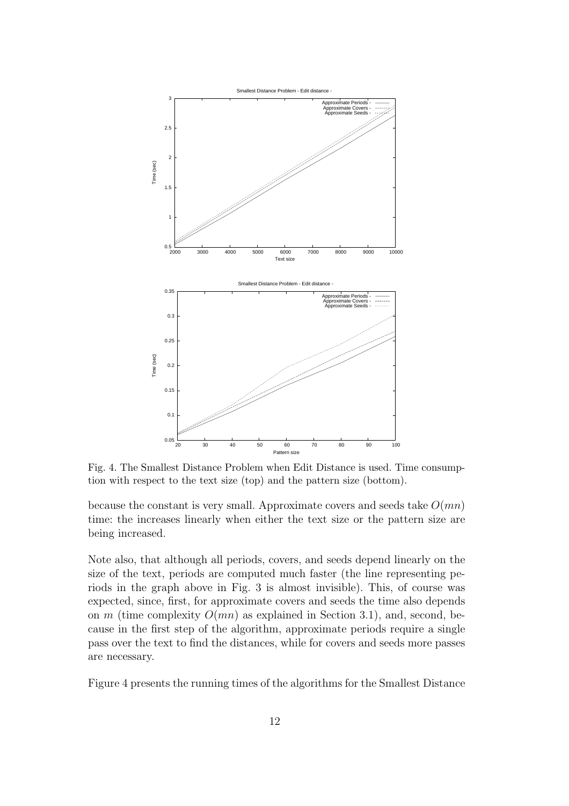

Fig. 4. The Smallest Distance Problem when Edit Distance is used. Time consumption with respect to the text size (top) and the pattern size (bottom).

because the constant is very small. Approximate covers and seeds take  $O(mn)$ time: the increases linearly when either the text size or the pattern size are being increased.

Note also, that although all periods, covers, and seeds depend linearly on the size of the text, periods are computed much faster (the line representing periods in the graph above in Fig. 3 is almost invisible). This, of course was expected, since, first, for approximate covers and seeds the time also depends on m (time complexity  $O(mn)$ ) as explained in Section 3.1), and, second, because in the first step of the algorithm, approximate periods require a single pass over the text to find the distances, while for covers and seeds more passes are necessary.

Figure 4 presents the running times of the algorithms for the Smallest Distance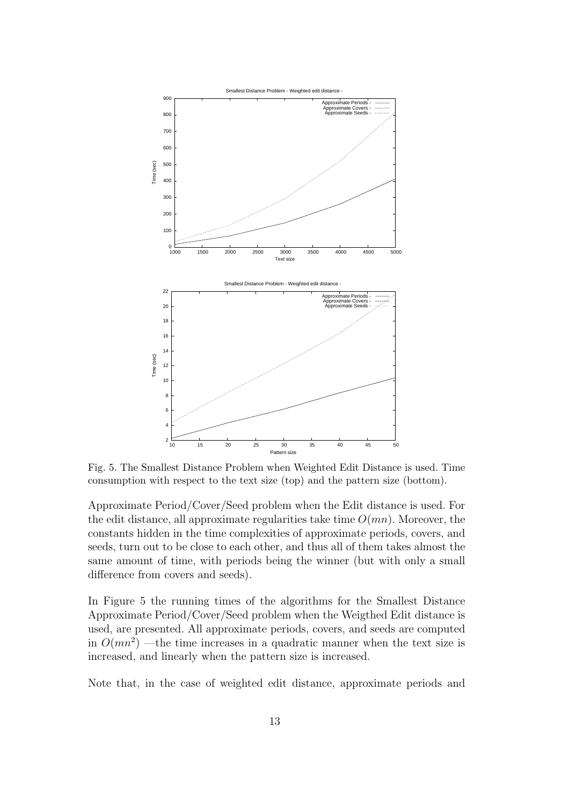

Fig. 5. The Smallest Distance Problem when Weighted Edit Distance is used. Time consumption with respect to the text size (top) and the pattern size (bottom).

Approximate Period/Cover/Seed problem when the Edit distance is used. For the edit distance, all approximate regularities take time  $O(mn)$ . Moreover, the constants hidden in the time complexities of approximate periods, covers, and seeds, turn out to be close to each other, and thus all of them takes almost the same amount of time, with periods being the winner (but with only a small difference from covers and seeds).

In Figure 5 the running times of the algorithms for the Smallest Distance Approximate Period/Cover/Seed problem when the Weigthed Edit distance is used, are presented. All approximate periods, covers, and seeds are computed in  $O(mn^2)$  —the time increases in a quadratic manner when the text size is increased, and linearly when the pattern size is increased.

Note that, in the case of weighted edit distance, approximate periods and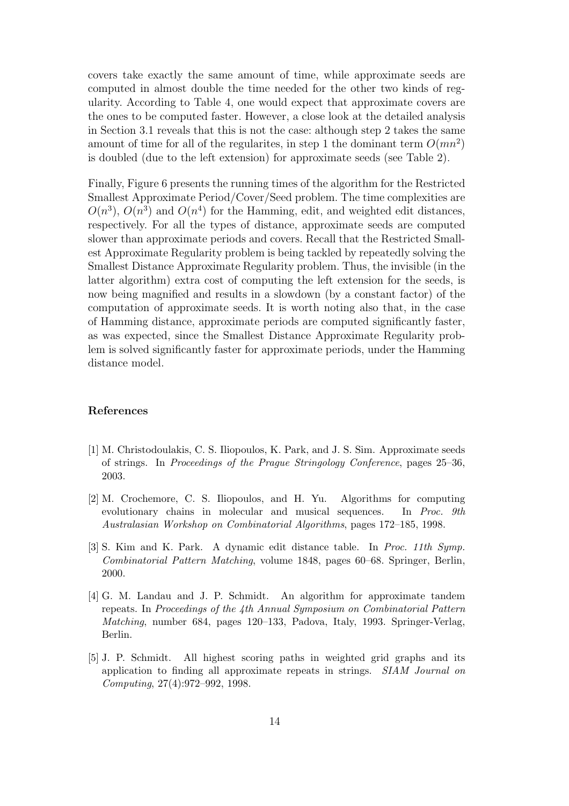covers take exactly the same amount of time, while approximate seeds are computed in almost double the time needed for the other two kinds of regularity. According to Table 4, one would expect that approximate covers are the ones to be computed faster. However, a close look at the detailed analysis in Section 3.1 reveals that this is not the case: although step 2 takes the same amount of time for all of the regularites, in step 1 the dominant term  $O(mn^2)$ is doubled (due to the left extension) for approximate seeds (see Table 2).

Finally, Figure 6 presents the running times of the algorithm for the Restricted Smallest Approximate Period/Cover/Seed problem. The time complexities are  $O(n^3)$ ,  $O(n^3)$  and  $O(n^4)$  for the Hamming, edit, and weighted edit distances, respectively. For all the types of distance, approximate seeds are computed slower than approximate periods and covers. Recall that the Restricted Smallest Approximate Regularity problem is being tackled by repeatedly solving the Smallest Distance Approximate Regularity problem. Thus, the invisible (in the latter algorithm) extra cost of computing the left extension for the seeds, is now being magnified and results in a slowdown (by a constant factor) of the computation of approximate seeds. It is worth noting also that, in the case of Hamming distance, approximate periods are computed significantly faster, as was expected, since the Smallest Distance Approximate Regularity problem is solved significantly faster for approximate periods, under the Hamming distance model.

#### References

- [1] M. Christodoulakis, C. S. Iliopoulos, K. Park, and J. S. Sim. Approximate seeds of strings. In *Proceedings of the Prague Stringology Conference*, pages 25–36, 2003.
- [2] M. Crochemore, C. S. Iliopoulos, and H. Yu. Algorithms for computing evolutionary chains in molecular and musical sequences. In *Proc. 9th Australasian Workshop on Combinatorial Algorithms*, pages 172–185, 1998.
- [3] S. Kim and K. Park. A dynamic edit distance table. In *Proc. 11th Symp. Combinatorial Pattern Matching*, volume 1848, pages 60–68. Springer, Berlin, 2000.
- [4] G. M. Landau and J. P. Schmidt. An algorithm for approximate tandem repeats. In *Proceedings of the 4th Annual Symposium on Combinatorial Pattern Matching*, number 684, pages 120–133, Padova, Italy, 1993. Springer-Verlag, Berlin.
- [5] J. P. Schmidt. All highest scoring paths in weighted grid graphs and its application to finding all approximate repeats in strings. *SIAM Journal on Computing*, 27(4):972–992, 1998.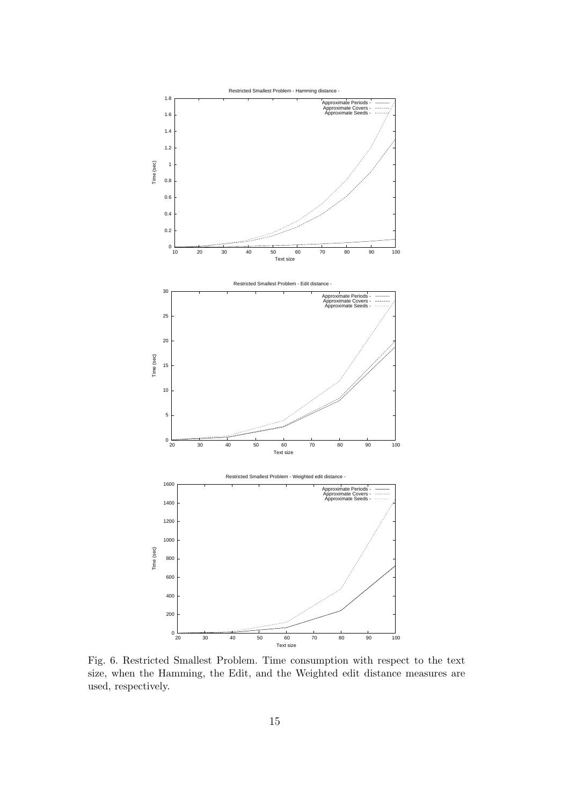

Fig. 6. Restricted Smallest Problem. Time consumption with respect to the text size, when the Hamming, the Edit, and the Weighted edit distance measures are used, respectively.